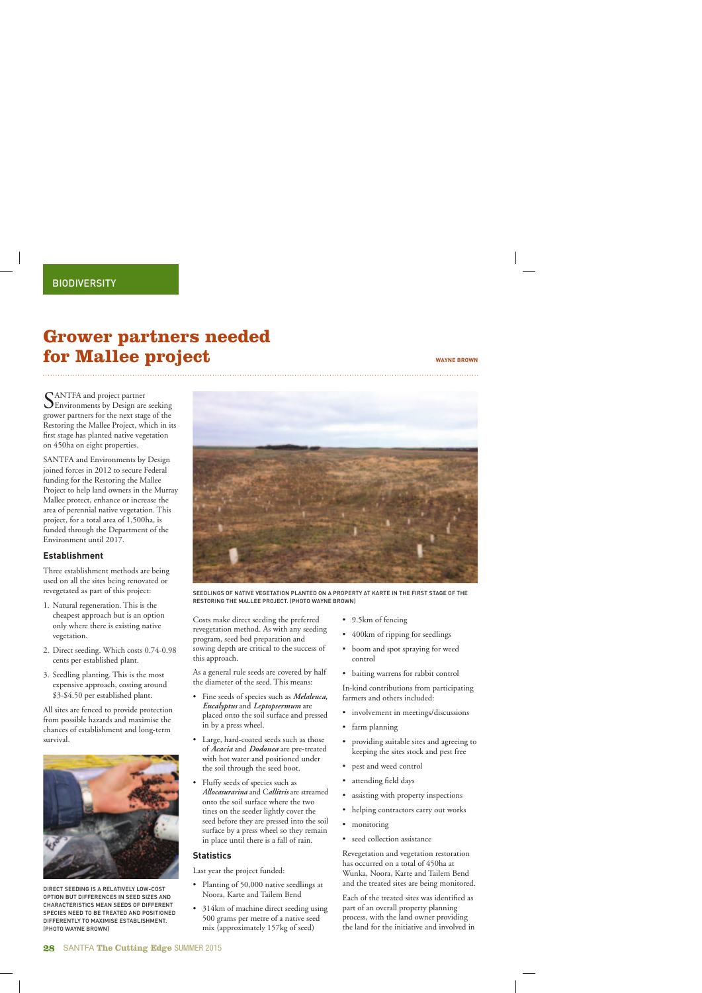## **Grower partners needed for Mallee project** WAYNE BROWN

SANTFA and project partner<br>Environments by Design are seeking grower partners for the next stage of the Restoring the Mallee Project, which in its first stage has planted native vegetation on 450ha on eight properties.

SANTFA and Environments by Design joined forces in 2012 to secure Federal funding for the Restoring the Mallee Project to help land owners in the Murray Mallee protect, enhance or increase the area of perennial native vegetation. This project, for a total area of 1,500ha, is funded through the Department of the Environment until 2017.

### **Establishment**

Three establishment methods are being used on all the sites being renovated or revegetated as part of this project:

- 1. Natural regeneration. This is the cheapest approach but is an option only where there is existing native vegetation.
- 2. Direct seeding. Which costs 0.74-0.98 cents per established plant.
- 3. Seedling planting. This is the most expensive approach, costing around \$3-\$4.50 per established plant.

All sites are fenced to provide protection from possible hazards and maximise the chances of establishment and long-term survival.



DIRECT SEEDING IS A RELATIVELY LOW-COST OPTION BUT DIFFERENCES IN SEED SIZES AND CHARACTERISTICS MEAN SEEDS OF DIFFERENT SPECIES NEED TO BE TREATED AND POSITIONED DIFFERENTLY TO MAXIMISE ESTABLISHMENT. (PHOTO WAYNE BROWN)



SEEDLINGS OF NATIVE VEGETATION PLANTED ON A PROPERTY AT KARTE IN THE FIRST STAGE OF THE RESTORING THE MALLEE PROJECT. (PHOTO WAYNE BROWN)

Costs make direct seeding the preferred revegetation method. As with any seeding program, seed bed preparation and sowing depth are critical to the success of this approach.

As a general rule seeds are covered by half the diameter of the seed. This means:

- Fine seeds of species such as *Melaleuca, Eucalyptus* and *Leptopsermum* are placed onto the soil surface and pressed in by a press wheel.
- Large, hard-coated seeds such as those of *Acacia* and *Dodonea* are pre-treated with hot water and positioned under the soil through the seed boot.
- Fluffy seeds of species such as *Allocasurarina* and C*allitris* are streamed onto the soil surface where the two tines on the seeder lightly cover the seed before they are pressed into the soil surface by a press wheel so they remain in place until there is a fall of rain.

#### **Statistics**

Last year the project funded:

- Planting of 50,000 native seedlings at Noora, Karte and Tailem Bend
- 314km of machine direct seeding using 500 grams per metre of a native seed mix (approximately 157kg of seed)
- 9.5km of fencing
- 400km of ripping for seedlings

- boom and spot spraying for weed control
- baiting warrens for rabbit control

In-kind contributions from participating farmers and others included:

- involvement in meetings/discussions
- farm planning
- providing suitable sites and agreeing to keeping the sites stock and pest free
- pest and weed control
- attending field days
- assisting with property inspections
- helping contractors carry out works
- monitoring
- seed collection assistance

Revegetation and vegetation restoration has occurred on a total of 450ha at Wunka, Noora, Karte and Tailem Bend and the treated sites are being monitored.

Each of the treated sites was identified as part of an overall property planning process, with the land owner providing the land for the initiative and involved in